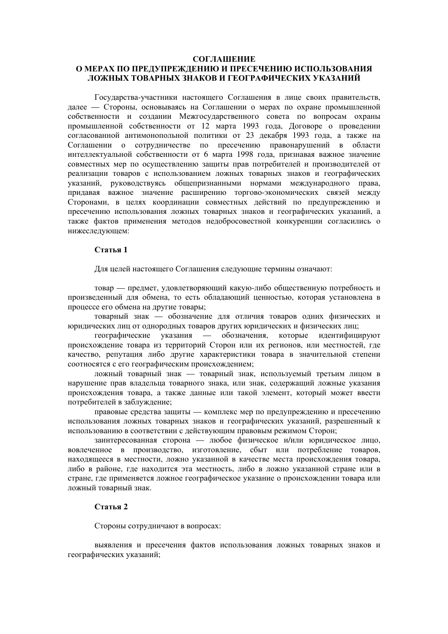#### **СОГЛАШЕНИЕ**

# О МЕРАХ ПО ПРЕДУПРЕЖДЕНИЮ И ПРЕСЕЧЕНИЮ ИСПОЛЬЗОВАНИЯ ЛОЖНЫХ ТОВАРНЫХ ЗНАКОВ И ГЕОГРАФИЧЕСКИХ УКАЗАНИЙ

Госуларства-участники настоящего Соглашения в лице своих правительств, далее - Стороны, основываясь на Соглашении о мерах по охране промышленной собственности и создании Межгосударственного совета по вопросам охраны промышленной собственности от 12 марта 1993 года, Договоре о проведении согласованной антимонопольной политики от 23 декабря 1993 года, а также на Соглашении о сотрудничестве по пресечению правонарушений в области интеллектуальной собственности от 6 марта 1998 года, признавая важное значение совместных мер по осуществлению защиты прав потребителей и производителей от реализации товаров с использованием ложных товарных знаков и географических указаний, руководствуясь общепризнанными нормами международного права, придавая важное значение расширению торгово-экономических связей между Сторонами, в целях координации совместных действий по предупреждению и пресечению использования ложных товарных знаков и географических указаний, а также фактов применения методов недобросовестной конкуренции согласились о нижеследующем:

#### Статья 1

Для целей настоящего Соглашения следующие термины означают:

товар — предмет, удовлетворяющий какую-либо общественную потребность и произведенный для обмена, то есть обладающий ценностью, которая установлена в процессе его обмена на другие товары;

товарный знак - обозначение для отличия товаров одних физических и юридических лиц от однородных товаров других юридических и физических лиц;

географические указания — обозначения, которые идентифицируют происхождение товара из территорий Сторон или их регионов, или местностей, где качество, репутация либо другие характеристики товара в значительной степени соотносятся с его географическим происхождением;

ложный товарный знак - товарный знак, используемый третьим лицом в нарушение прав владельца товарного знака, или знак, содержащий ложные указания происхождения товара, а также данные или такой элемент, который может ввести потребителей в заблуждение;

правовые средства защиты — комплекс мер по предупреждению и пресечению использования ложных товарных знаков и географических указаний, разрешенный к использованию в соответствии с действующим правовым режимом Сторон;

заинтересованная сторона — любое физическое и/или юридическое лицо, вовлеченное в произволство, изготовление, сбыт или потребление товаров, находящееся в местности, ложно указанной в качестве места происхождения товара, либо в районе, где находится эта местность, либо в ложно указанной стране или в стране, где применяется ложное географическое указание о происхождении товара или ложный товарный знак.

## Статья 2

Стороны сотрудничают в вопросах:

выявления и пресечения фактов использования ложных товарных знаков и географических указаний;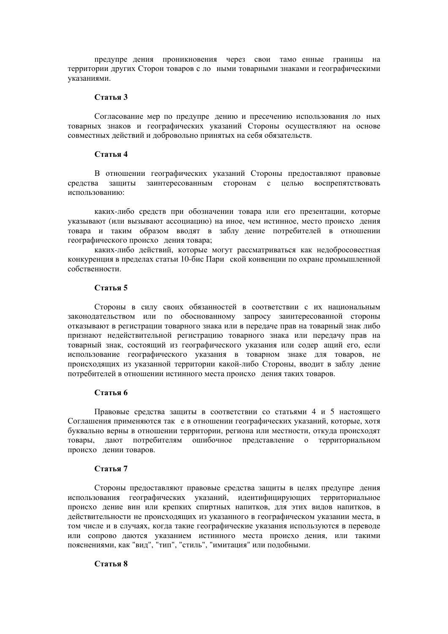предупре дения проникновения через свои тамо енные границы на территории других Сторон товаров с ло ными товарными знаками и географическими указаниями.

## Статья 3

Согласование мер по предупре дению и пресечению использования ло ных товарных знаков и географических указаний Стороны осуществляют на основе совместных действий и добровольно принятых на себя обязательств.

#### Стятья 4

В отношении географических указаний Стороны предоставляют правовые средства защиты заинтересованным сторонам с целью воспрепятствовать использованию:

каких-либо средств при обозначении товара или его презентации, которые указывают (или вызывают ассоциацию) на иное, чем истинное, место происхо дения товара и таким образом вводят в заблу дение потребителей в отношении географического происхо дения товара;

каких-либо действий, которые могут рассматриваться как недобросовестная конкуренция в пределах статьи 10-бис Пари ской конвенции по охране промышленной собственности.

### Статья 5

Стороны в силу своих обязанностей в соответствии с их национальным законодательством или по обоснованному запросу заинтересованной стороны отказывают в регистрации товарного знака или в передаче прав на товарный знак либо признают недействительной регистрацию товарного знака или передачу прав на товарный знак, состоящий из географического указания или содер ащий его, если использование географического указания в товарном знаке для товаров, не происходящих из указанной территории какой-либо Стороны, вводит в заблу дение потребителей в отношении истинного места происхо дения таких товаров.

#### Статья 6

Правовые средства защиты в соответствии со статьями 4 и 5 настоящего Соглашения применяются так е в отношении географических указаний, которые, хотя буквально верны в отношении территории, региона или местности, откуда происходят товары, дают потребителям ошибочное представление о территориальном происхо дении товаров.

## Статья 7

Стороны предоставляют правовые средства защиты в целях предупре дения использования географических указаний, идентифицирующих территориальное происхо дение вин или крепких спиртных напитков, для этих видов напитков, в лействительности не происхоляших из указанного в географическом указании места, в том числе и в случаях, когда такие географические указания используются в переводе или сопрово даются указанием истинного места происхо дения, или такими пояснениями, как "вид", "тип", "стиль", "имитация" или подобными.

## Статья 8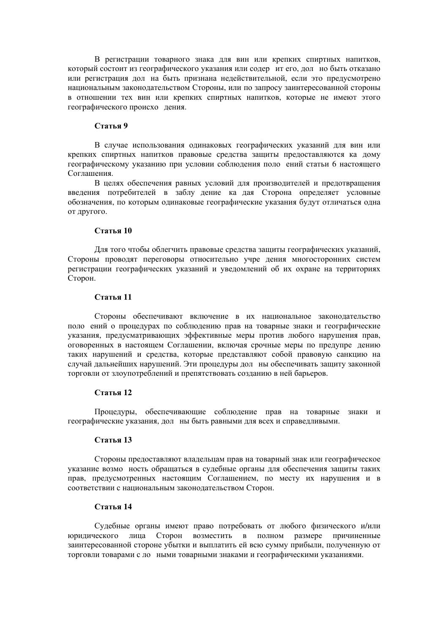В регистрации товарного знака для вин или крепких спиртных напитков, который состоит из географического указания или содер ит его, дол но быть отказано или регистрация дол на быть признана недействительной, если это предусмотрено национальным законодательством Стороны, или по запросу заинтересованной стороны в отношении тех вин или крепких спиртных напитков, которые не имеют этого географического происхо дения.

## Статья 9

В случае использования одинаковых географических указаний для вин или крепких спиртных напитков правовые средства зашиты предоставляются ка дому географическому указанию при условии соблюдения поло ений статьи 6 настоящего Соглашения.

В целях обеспечения равных условий для производителей и предотвращения введения потребителей в заблу дение ка дая Сторона определяет условные обозначения, по которым одинаковые географические указания будут отличаться одна от другого.

### Статья 10

Для того чтобы облегчить правовые средства защиты географических указаний, Стороны проводят переговоры относительно учре дения многосторонних систем регистрации географических указаний и уведомлений об их охране на территориях Сторон.

### Статья 11

Стороны обеспечивают включение в их национальное законодательство поло ений о процедурах по соблюдению прав на товарные знаки и географические указания, предусматривающих эффективные меры против любого нарушения прав, оговоренных в настоящем Соглашении, включая срочные меры по предупре дению таких нарушений и средства, которые представляют собой правовую санкцию на случай дальнейших нарушений. Эти процедуры дол ны обеспечивать защиту законной торговли от злоупотреблений и препятствовать созданию в ней барьеров.

### Статья 12

Процедуры, обеспечивающие соблюдение прав на товарные знаки и географические указания, дол ны быть равными для всех и справедливыми.

## Статья 13

Стороны предоставляют владельцам прав на товарный знак или географическое указание возмо ность обращаться в судебные органы для обеспечения защиты таких прав, предусмотренных настоящим Соглашением, по месту их нарушения и в соответствии с национальным законодательством Сторон.

# Статья 14

Судебные органы имеют право потребовать от любого физического и/или юридического лица Сторон возместить в полном размере причиненные заинтересованной стороне убытки и выплатить ей всю сумму прибыли, полученную от торговли товарами с ло ными товарными знаками и географическими указаниями.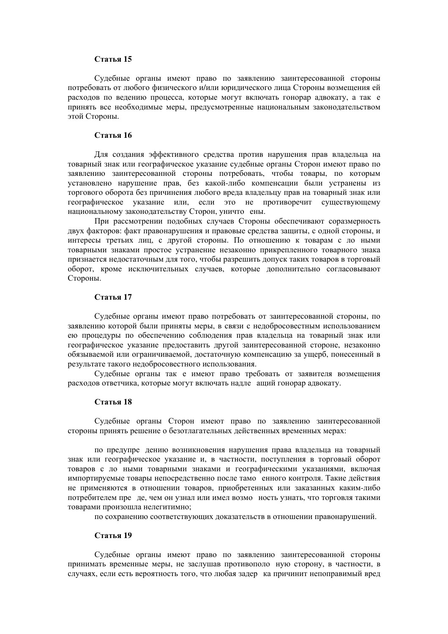#### Статья 15

Судебные органы имеют право по заявлению заинтересованной стороны потребовать от любого физического и/или юридического лица Стороны возмещения ей расходов по ведению процесса, которые могут включать гонорар адвокату, а так е принять все необходимые меры, предусмотренные национальным законодательством этой Стороны.

## Статья 16

Лля созлания эффективного средства против нарушения прав владельца на товарный знак или географическое указание судебные органы Сторон имеют право по заявлению заинтересованной стороны потребовать, чтобы товары, по которым установлено нарушение прав, без какой-либо компенсации были устранены из торгового оборота без причинения любого вреда владельцу прав на товарный знак или географическое указание или, если это не противоречит существующему национальному законодательству Сторон, уничто ены.

При рассмотрении подобных случаев Стороны обеспечивают соразмерность лвух факторов: факт правонарушения и правовые средства зашиты, с одной стороны, и интересы третьих лиц, с другой стороны. По отношению к товарам с ло ными товарными знаками простое устранение незаконно прикрепленного товарного знака признается недостаточным для того, чтобы разрешить допуск таких товаров в торговый оборот, кроме исключительных случаев, которые дополнительно согласовывают Стороны.

### Статья 17

Судебные органы имеют право потребовать от заинтересованной стороны, по заявлению которой были приняты меры, в связи с недобросовестным использованием ею процедуры по обеспечению соблюдения прав владельца на товарный знак или географическое указание предоставить другой заинтересованной стороне, незаконно обязываемой или ограничиваемой, достаточную компенсацию за ущерб, понесенный в результате такого недобросовестного использования.

Судебные органы так е имеют право требовать от заявителя возмещения расходов ответчика, которые могут включать надле ащий гонорар адвокату.

### Стятья 18

Судебные органы Сторон имеют право по заявлению заинтересованной стороны принять решение о безотлагательных действенных временных мерах:

по предупре дению возникновения нарушения права владельца на товарный знак или географическое указание и, в частности, поступления в торговый оборот товаров с ло ными товарными знаками и географическими указаниями, включая импортируемые товары непосредственно после тамо енного контроля. Такие действия не применяются в отношении товаров, приобретенных или заказанных каким-либо потребителем пре де, чем он узнал или имел возмо ность узнать, что торговля такими товарами произошла нелегитимно;

по сохранению соответствующих доказательств в отношении правонарушений.

## Статья 19

Судебные органы имеют право по заявлению заинтересованной стороны принимать временные меры, не заслушав противополо ную сторону, в частности, в случаях, если есть вероятность того, что любая задер ка причинит непоправимый вред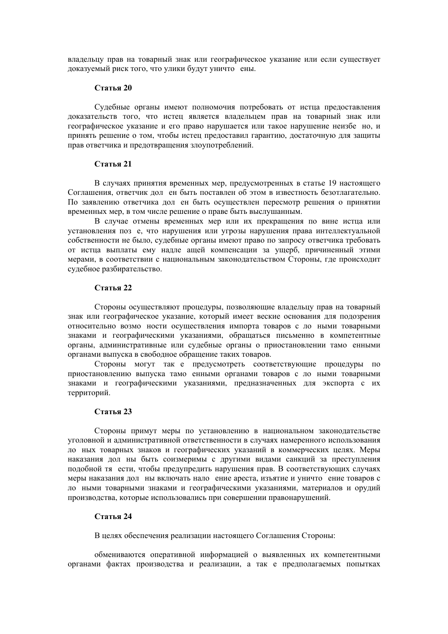владельцу прав на товарный знак или географическое указание или если существует доказуемый риск того, что улики будут уничто ены.

## **Статья** 20

Судебные органы имеют полномочия потребовать от истца предоставления доказательств того, что истец является владельцем прав на товарный знак или географическое указание и его право нарушается или такое нарушение неизбе но, и принять решение о том, чтобы истец предоставил гарантию, достаточную для защиты прав ответчика и предотвращения злоупотреблений.

# Статья 21

В случаях принятия временных мер, предусмотренных в статье 19 настоящего Соглашения, ответчик дол ен быть поставлен об этом в известность безотлагательно. По заявлению ответчика дол ен быть осуществлен пересмотр решения о принятии временных мер, в том числе решение о праве быть выслушанным.

В случае отмены временных мер или их прекращения по вине истца или установления поз е, что нарушения или угрозы нарушения права интеллектуальной собственности не было, судебные органы имеют право по запросу ответчика требовать от истца выплаты ему надле ащей компенсации за ущерб, причиненный этими мерами, в соответствии с национальным законодательством Стороны, где происходит судебное разбирательство.

### Статья 22

Стороны осуществляют процедуры, позволяющие владельцу прав на товарный знак или географическое указание, который имеет веские основания для подозрения относительно возмо ности осуществления импорта товаров с ло ными товарными знаками и географическими указаниями, обращаться письменно в компетентные органы, административные или судебные органы о приостановлении тамо енными органами выпуска в свободное обращение таких товаров.

Стороны могут так е предусмотреть соответствующие процедуры по приостановлению выпуска тамо енными органами товаров с ло ными товарными знаками и географическими указаниями, предназначенных для экспорта с их территорий.

### Статья 23

Стороны примут меры по установлению в национальном законодательстве уголовной и административной ответственности в случаях намеренного использования ло ных товарных знаков и географических указаний в коммерческих целях. Меры наказания дол ны быть соизмеримы с другими видами санкций за преступления подобной тя ести, чтобы предупредить нарушения прав. В соответствующих случаях меры наказания дол ны включать нало ение ареста, изъятие и уничто ение товаров с ло ными товарными знаками и географическими указаниями, материалов и орудий производства, которые использовались при совершении правонарушений.

# Статья 24

В целях обеспечения реализации настоящего Соглашения Стороны:

обмениваются оперативной информацией о выявленных их компетентными органами фактах производства и реализации, а так е предполагаемых попытках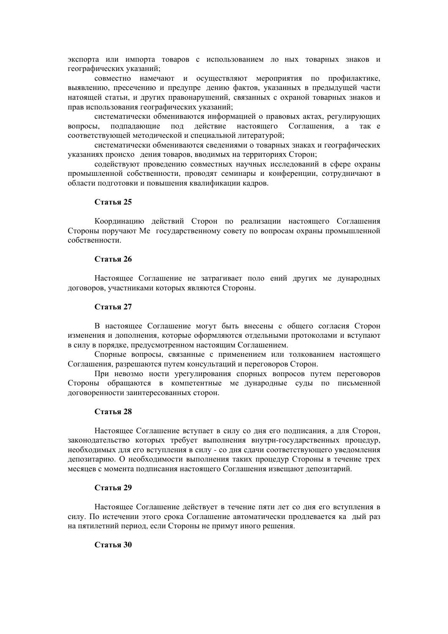экспорта или импорта товаров с использованием ло ных товарных знаков и географических указаний;

совместно намечают и осуществляют мероприятия по профилактике, выявлению, пресечению и предупре дению фактов, указанных в предыдущей части натоящей статьи, и других правонарушений, связанных с охраной товарных знаков и прав использования географических указаний;

систематически обмениваются информацией о правовых актах, регулирующих подпадающие под действие настоящего Соглашения, а так е вопросы, соответствующей методической и специальной литературой;

систематически обмениваются сведениями о товарных знаках и географических указаниях происхо дения товаров, вводимых на территориях Сторон:

содействуют проведению совместных научных исследований в сфере охраны промышленной собственности, проводят семинары и конференции, сотрудничают в области подготовки и повышения квалификации кадров.

#### Статья 25

Координацию действий Сторон по реализации настоящего Соглашения Стороны поручают Ме государственному совету по вопросам охраны промышленной собственности.

#### Статья 26

Настоящее Соглашение не затрагивает поло ений других ме дународных договоров, участниками которых являются Стороны.

### Статья 27

В настоящее Соглашение могут быть внесены с общего согласия Сторон изменения и дополнения, которые оформляются отдельными протоколами и вступают в силу в порядке, предусмотренном настоящим Соглашением.

Спорные вопросы, связанные с применением или толкованием настоящего Соглашения, разрешаются путем консультаций и переговоров Сторон.

При невозмо ности урегулирования спорных вопросов путем переговоров Стороны обращаются в компетентные ме дународные суды по письменной договоренности заинтересованных сторон.

#### Статья 28

Настоящее Соглашение вступает в силу со дня его подписания, а для Сторон, законодательство которых требует выполнения внутри-государственных процедур, необходимых для его вступления в силу - со дня слачи соответствующего увеломления депозитарию. О необходимости выполнения таких процедур Стороны в течение трех месяцев с момента подписания настоящего Соглашения извещают депозитарий.

### Статья 29

Настоящее Соглашение действует в течение пяти лет со дня его вступления в силу. По истечении этого срока Соглашение автоматически продлевается ка дый раз на пятилетний период, если Стороны не примут иного решения.

## Статья 30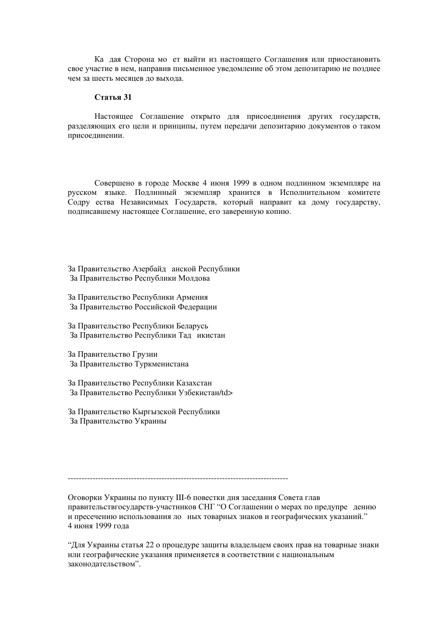Ка дая Сторона мо ет выйти из настоящего Соглашения или приостановить свое участие в нем, направив письменное уведомление об этом депозитарию не позднее чем за шесть месяцев до выхода.

## Стятья 31

Настоящее Соглашение открыто для присоединения других государств, разделяющих его цели и принципы, путем передачи депозитарию документов о таком присоединении.

Совершено в городе Москве 4 июня 1999 в одном подлинном экземпляре на русском языке. Подлинный экземпляр хранится в Исполнительном комитете Содру ества Независимых Государств, который направит ка дому государству, подписавшему настоящее Соглашение, его заверенную копию.

За Правительство Азербайд анской Республики За Правительство Республики Молдова

За Правительство Республики Армения За Правительство Российской Федерации

За Правительство Республики Беларусь За Правительство Республики Тад икистан

За Правительство Грузии За Правительство Туркменистана

За Правительство Республики Казахстан За Правительство Республики Узбекистан/td>

За Правительство Кыргызской Республики За Правительство Украины

Оговорки Украины по пункту III-6 повестки дня заседания Совета глав правительствгосударств-участников СНГ "О Соглашении о мерах по предупре дению и пресечению использования ло ных товарных знаков и географических указаний." 4 июня 1999 гола

"Для Украины статья 22 о процедуре защиты владельцем своих прав на товарные знаки или географические указания применяется в соответствии с национальным законолательством".